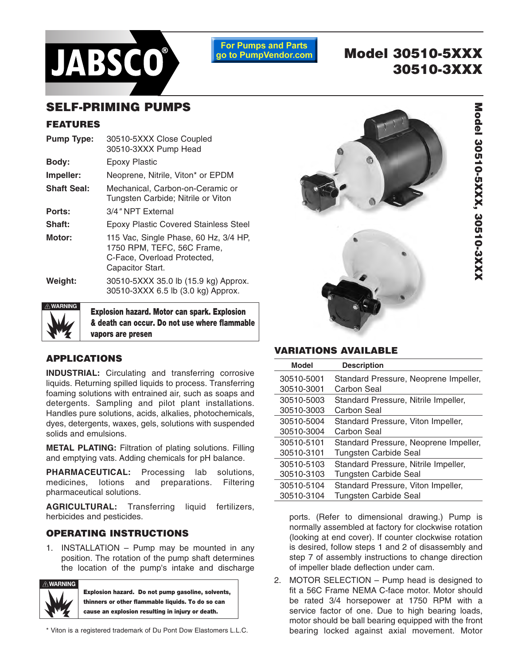

**For Pumps and Parts** go to PumpVendor.com

# **Model 30510-5XXX 30510-3XXX**

## **SELF-PRIMING PUMPS**

#### **FEATURES**

| <b>Pump Type:</b>  | 30510-5XXX Close Coupled<br>30510-3XXX Pump Head                                                                       |  |  |  |
|--------------------|------------------------------------------------------------------------------------------------------------------------|--|--|--|
| Body:              | Epoxy Plastic                                                                                                          |  |  |  |
| Impeller:          | Neoprene, Nitrile, Viton* or EPDM                                                                                      |  |  |  |
| <b>Shaft Seal:</b> | Mechanical. Carbon-on-Ceramic or<br>Tungsten Carbide; Nitrile or Viton                                                 |  |  |  |
| Ports:             | 3/4" NPT External                                                                                                      |  |  |  |
| Shaft:             | <b>Epoxy Plastic Covered Stainless Steel</b>                                                                           |  |  |  |
| Motor:             | 115 Vac, Single Phase, 60 Hz, 3/4 HP,<br>1750 RPM, TEFC, 56C Frame,<br>C-Face, Overload Protected,<br>Capacitor Start. |  |  |  |
| Weight:            | 30510-5XXX 35.0 lb (15.9 kg) Approx.<br>30510-3XXX 6.5 lb (3.0 kg) Approx.                                             |  |  |  |
| $\land$ WARNING    |                                                                                                                        |  |  |  |



**Explosion hazard. Motor can spark. Explosion & death can occur. Do not use where flammable vapors are presen**

#### **APPLICATIONS**

**INDUSTRIAL:** Circulating and transferring corrosive liquids. Returning spilled liquids to process. Transferring foaming solutions with entrained air, such as soaps and detergents. Sampling and pilot plant installations. Handles pure solutions, acids, alkalies, photochemicals, dyes, detergents, waxes, gels, solutions with suspended solids and emulsions.

**METAL PLATING:** Filtration of plating solutions. Filling and emptying vats. Adding chemicals for pH balance.

**PHARMACEUTICAL:** Processing lab solutions, medicines, lotions and preparations. Filtering pharmaceutical solutions.

**AGRICULTURAL:** Transferring liquid fertilizers, herbicides and pesticides.

#### **OPERATING INSTRUCTIONS**

1. INSTALLATION – Pump may be mounted in any position. The rotation of the pump shaft determines the location of the pump's intake and discharge



**Explosion hazard. Do not pump gasoline, solvents, thinners or other flammable liquids. To do so can cause an explosion resulting in injury or death.** 

\* Viton is a registered trademark of Du Pont Dow Elastomers L.L.C.



#### **VARIATIONS AVAILABLE**

| <b>Model</b> | <b>Description</b>                    |
|--------------|---------------------------------------|
| 30510-5001   | Standard Pressure, Neoprene Impeller, |
| 30510-3001   | Carbon Seal                           |
| 30510-5003   | Standard Pressure, Nitrile Impeller,  |
| 30510-3003   | Carbon Seal                           |
| 30510-5004   | Standard Pressure, Viton Impeller,    |
| 30510-3004   | Carbon Seal                           |
| 30510-5101   | Standard Pressure, Neoprene Impeller, |
| 30510-3101   | <b>Tungsten Carbide Seal</b>          |
| 30510-5103   | Standard Pressure, Nitrile Impeller,  |
| 30510-3103   | <b>Tungsten Carbide Seal</b>          |
| 30510-5104   | Standard Pressure, Viton Impeller,    |
| 30510-3104   | Tungsten Carbide Seal                 |

ports. (Refer to dimensional drawing.) Pump is normally assembled at factory for clockwise rotation (looking at end cover). If counter clockwise rotation is desired, follow steps 1 and 2 of disassembly and step 7 of assembly instructions to change direction of impeller blade deflection under cam.

2. MOTOR SELECTION – Pump head is designed to fit a 56C Frame NEMA C-face motor. Motor should be rated 3/4 horsepower at 1750 RPM with a service factor of one. Due to high bearing loads, motor should be ball bearing equipped with the front bearing locked against axial movement. Motor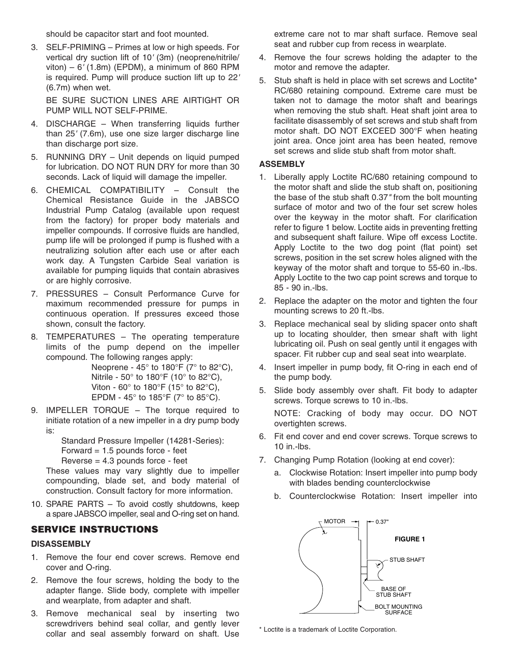should be capacitor start and foot mounted.

3. SELF-PRIMING – Primes at low or high speeds. For vertical dry suction lift of 10' (3m) (neoprene/nitrile/ viton) –  $6'$  (1.8m) (EPDM), a minimum of 860 RPM is required. Pump will produce suction lift up to 22' (6.7m) when wet.

BE SURE SUCTION LINES ARE AIRTIGHT OR PUMP WILL NOT SELF-PRIME.

- 4. DISCHARGE When transferring liquids further than 25' (7.6m), use one size larger discharge line than discharge port size.
- 5. RUNNING DRY Unit depends on liquid pumped for lubrication. DO NOT RUN DRY for more than 30 seconds. Lack of liquid will damage the impeller.
- 6. CHEMICAL COMPATIBILITY Consult the Chemical Resistance Guide in the JABSCO Industrial Pump Catalog (available upon request from the factory) for proper body materials and impeller compounds. If corrosive fluids are handled, pump life will be prolonged if pump is flushed with a neutralizing solution after each use or after each work day. A Tungsten Carbide Seal variation is available for pumping liquids that contain abrasives or are highly corrosive.
- 7. PRESSURES Consult Performance Curve for maximum recommended pressure for pumps in continuous operation. If pressures exceed those shown, consult the factory.
- 8. TEMPERATURES The operating temperature limits of the pump depend on the impeller compound. The following ranges apply:

Neoprene - 45 $\degree$  to 180 $\degree$ F (7 $\degree$  to 82 $\degree$ C), Nitrile - 50° to 180°F (10° to 82°C), Viton - 60 $^{\circ}$  to 180 $^{\circ}$ F (15 $^{\circ}$  to 82 $^{\circ}$ C), EPDM - 45 $\degree$  to 185 $\degree$ F (7 $\degree$  to 85 $\degree$ C).

9. IMPELLER TORQUE – The torque required to initiate rotation of a new impeller in a dry pump body is:

> Standard Pressure Impeller (14281-Series): Forward  $= 1.5$  pounds force - feet  $Reverse = 4.3$  pounds force - feet

These values may vary slightly due to impeller compounding, blade set, and body material of construction. Consult factory for more information.

10. SPARE PARTS – To avoid costly shutdowns, keep a spare JABSCO impeller, seal and O-ring set on hand.

#### **SERVICE INSTRUCTIONS**

#### **DISASSEMBLY**

- 1. Remove the four end cover screws. Remove end cover and O-ring.
- 2. Remove the four screws, holding the body to the adapter flange. Slide body, complete with impeller and wearplate, from adapter and shaft.
- 3. Remove mechanical seal by inserting two screwdrivers behind seal collar, and gently lever collar and seal assembly forward on shaft. Use

extreme care not to mar shaft surface. Remove seal seat and rubber cup from recess in wearplate.

- 4. Remove the four screws holding the adapter to the motor and remove the adapter.
- 5. Stub shaft is held in place with set screws and Loctite\* RC/680 retaining compound. Extreme care must be taken not to damage the motor shaft and bearings when removing the stub shaft. Heat shaft joint area to facilitate disassembly of set screws and stub shaft from motor shaft. DO NOT EXCEED 300°F when heating joint area. Once joint area has been heated, remove set screws and slide stub shaft from motor shaft.

#### **ASSEMBLY**

- 1. Liberally apply Loctite RC/680 retaining compound to the motor shaft and slide the stub shaft on, positioning the base of the stub shaft 0.37" from the bolt mounting surface of motor and two of the four set screw holes over the keyway in the motor shaft. For clarification refer to figure 1 below. Loctite aids in preventing fretting and subsequent shaft failure. Wipe off excess Loctite. Apply Loctite to the two dog point (flat point) set screws, position in the set screw holes aligned with the keyway of the motor shaft and torque to 55-60 in.-lbs. Apply Loctite to the two cap point screws and torque to 85 - 90 in.-lbs.
- 2. Replace the adapter on the motor and tighten the four mounting screws to 20 ft.-lbs.
- 3. Replace mechanical seal by sliding spacer onto shaft up to locating shoulder, then smear shaft with light lubricating oil. Push on seal gently until it engages with spacer. Fit rubber cup and seal seat into wearplate.
- 4. Insert impeller in pump body, fit O-ring in each end of the pump body.
- 5. Slide body assembly over shaft. Fit body to adapter screws. Torque screws to 10 in.-lbs.

NOTE: Cracking of body may occur. DO NOT overtighten screws.

- 6. Fit end cover and end cover screws. Torque screws to 10 in.-lbs.
- 7. Changing Pump Rotation (looking at end cover):
	- a. Clockwise Rotation: Insert impeller into pump body with blades bending counterclockwise
	- b. Counterclockwise Rotation: Insert impeller into



\* Loctite is a trademark of Loctite Corporation.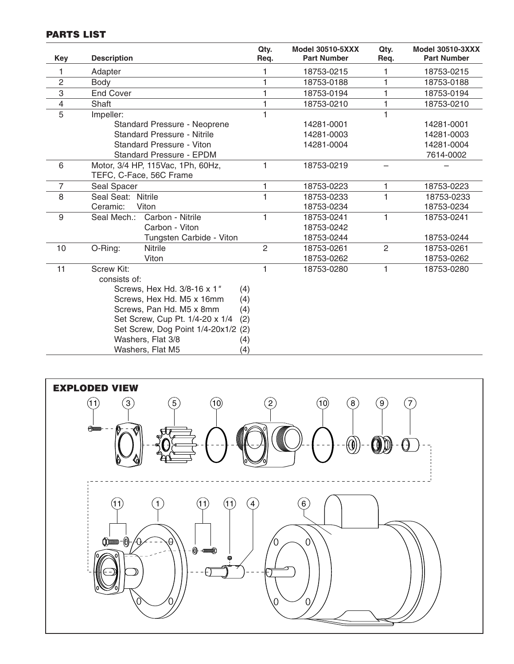### **PARTS LIST**

| Key                                | <b>Description</b>                                                                                                                                                                                                                           | Qty.<br>Req.                                           | <b>Model 30510-5XXX</b><br><b>Part Number</b>                                                                                 | Qty.<br>Req.   | <b>Model 30510-3XXX</b><br><b>Part Number</b> |
|------------------------------------|----------------------------------------------------------------------------------------------------------------------------------------------------------------------------------------------------------------------------------------------|--------------------------------------------------------|-------------------------------------------------------------------------------------------------------------------------------|----------------|-----------------------------------------------|
| 1                                  | Adapter                                                                                                                                                                                                                                      |                                                        | 18753-0215                                                                                                                    | $\mathbf{1}$   | 18753-0215                                    |
| $\overline{2}$                     | Body                                                                                                                                                                                                                                         |                                                        | 18753-0188                                                                                                                    | 1              | 18753-0188                                    |
| 3                                  | <b>End Cover</b>                                                                                                                                                                                                                             |                                                        | 18753-0194                                                                                                                    | 1              | 18753-0194                                    |
| $\overline{4}$                     | Shaft                                                                                                                                                                                                                                        |                                                        | 18753-0210                                                                                                                    | 1              | 18753-0210                                    |
| 5                                  | Impeller:                                                                                                                                                                                                                                    | $\blacksquare$                                         |                                                                                                                               | $\mathbf{1}$   |                                               |
|                                    | Standard Pressure - Neoprene                                                                                                                                                                                                                 |                                                        | 14281-0001                                                                                                                    |                | 14281-0001                                    |
| <b>Standard Pressure - Nitrile</b> |                                                                                                                                                                                                                                              |                                                        | 14281-0003                                                                                                                    |                | 14281-0003                                    |
| Standard Pressure - Viton          |                                                                                                                                                                                                                                              |                                                        | 14281-0004                                                                                                                    |                | 14281-0004                                    |
|                                    | Standard Pressure - EPDM                                                                                                                                                                                                                     |                                                        |                                                                                                                               |                | 7614-0002                                     |
| 6                                  | Motor, 3/4 HP, 115Vac, 1Ph, 60Hz,<br>TEFC, C-Face, 56C Frame                                                                                                                                                                                 | $\mathbf{1}$                                           | 18753-0219                                                                                                                    |                |                                               |
| 7                                  | Seal Spacer                                                                                                                                                                                                                                  | $\mathbf{1}$                                           | 18753-0223                                                                                                                    | 1.             | 18753-0223                                    |
| 8                                  | Seal Seat: Nitrile                                                                                                                                                                                                                           | $\blacksquare$                                         | 18753-0233                                                                                                                    | $\mathbf{1}$   | 18753-0233                                    |
|                                    | Viton<br>Ceramic:                                                                                                                                                                                                                            |                                                        | 18753-0234                                                                                                                    |                | 18753-0234                                    |
| 9                                  | Carbon - Nitrile<br>Seal Mech.:                                                                                                                                                                                                              | $\mathbf{1}$                                           | 18753-0241                                                                                                                    | 1              | 18753-0241                                    |
|                                    | Carbon - Viton                                                                                                                                                                                                                               |                                                        | 18753-0242                                                                                                                    |                |                                               |
|                                    | Tungsten Carbide - Viton                                                                                                                                                                                                                     |                                                        | 18753-0244                                                                                                                    |                | 18753-0244                                    |
| 10                                 | <b>Nitrile</b><br>O-Ring:                                                                                                                                                                                                                    | $\overline{2}$                                         | 18753-0261                                                                                                                    | $\overline{2}$ | 18753-0261                                    |
|                                    | Viton                                                                                                                                                                                                                                        |                                                        | 18753-0262                                                                                                                    |                | 18753-0262                                    |
| 11                                 | <b>Screw Kit:</b><br>consists of:<br>Screws, Hex Hd. 3/8-16 x 1"<br>Screws, Hex Hd. M5 x 16mm<br>Screws, Pan Hd. M5 x 8mm<br>Set Screw, Cup Pt. 1/4-20 x 1/4<br>Set Screw, Dog Point 1/4-20x1/2 (2)<br>Washers, Flat 3/8<br>Washers, Flat M5 | $\mathbf{1}$<br>(4)<br>(4)<br>(4)<br>(2)<br>(4)<br>(4) | 18753-0280                                                                                                                    | $\mathbf{1}$   | 18753-0280                                    |
|                                    | <b>EXPLODED VIEW</b><br>(11)<br>$\left(5\right)$<br>(10)<br>3<br>Appen                                                                                                                                                                       | $\mathbf{2}$                                           | (10)<br>$\mathbf{8}$<br>$\left(\!\!\left.\!\!\left.\!\!\left.\!\!\left.\!\!\!\right.\!\!\!\right.\!\!\!\right) \!\!\!\right)$ | ໌9ົ            | $\overline{7}$                                |